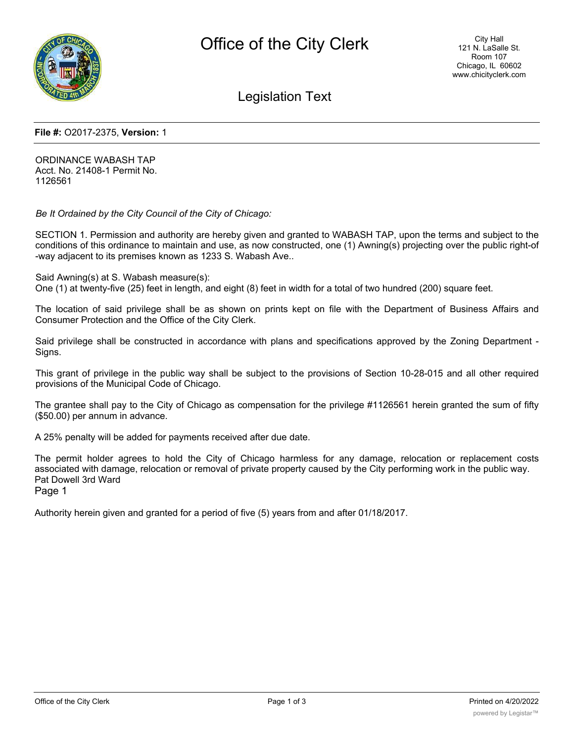

Legislation Text

## **File #:** O2017-2375, **Version:** 1

ORDINANCE WABASH TAP Acct. No. 21408-1 Permit No. 1126561

*Be It Ordained by the City Council of the City of Chicago:*

SECTION 1. Permission and authority are hereby given and granted to WABASH TAP, upon the terms and subject to the conditions of this ordinance to maintain and use, as now constructed, one (1) Awning(s) projecting over the public right-of -way adjacent to its premises known as 1233 S. Wabash Ave..

Said Awning(s) at S. Wabash measure(s):

One (1) at twenty-five (25) feet in length, and eight (8) feet in width for a total of two hundred (200) square feet.

The location of said privilege shall be as shown on prints kept on file with the Department of Business Affairs and Consumer Protection and the Office of the City Clerk.

Said privilege shall be constructed in accordance with plans and specifications approved by the Zoning Department - Signs.

This grant of privilege in the public way shall be subject to the provisions of Section 10-28-015 and all other required provisions of the Municipal Code of Chicago.

The grantee shall pay to the City of Chicago as compensation for the privilege #1126561 herein granted the sum of fifty (\$50.00) per annum in advance.

A 25% penalty will be added for payments received after due date.

The permit holder agrees to hold the City of Chicago harmless for any damage, relocation or replacement costs associated with damage, relocation or removal of private property caused by the City performing work in the public way. Pat Dowell 3rd Ward

Page 1

Authority herein given and granted for a period of five (5) years from and after 01/18/2017.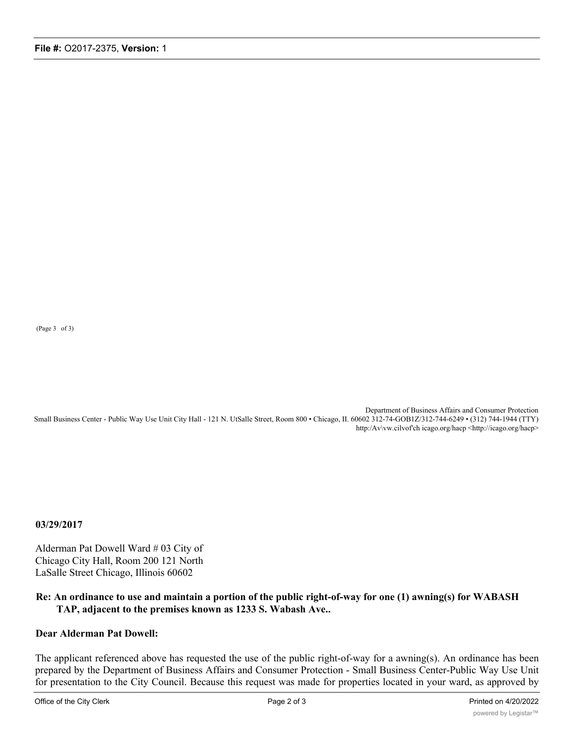(Page 3 of 3)

Department of Business Affairs and Consumer Protection Small Business Center - Public Way Use Unit City Hall - 121 N. UtSalle Street, Room 800 • Chicago, II. 60602 312-74-GOB1Z/312-744-6249 • (312) 744-1944 (TTY) http:/Av\vw.cilvof'ch icago.org/hacp <http://icago.org/hacp>

**03/29/2017**

Alderman Pat Dowell Ward # 03 City of Chicago City Hall, Room 200 121 North LaSalle Street Chicago, Illinois 60602

## **Re: An ordinance to use and maintain a portion of the public right-of-way for one (1) awning(s) for WABASH TAP, adjacent to the premises known as 1233 S. Wabash Ave..**

## **Dear Alderman Pat Dowell:**

The applicant referenced above has requested the use of the public right-of-way for a awning(s). An ordinance has been prepared by the Department of Business Affairs and Consumer Protection - Small Business Center-Public Way Use Unit for presentation to the City Council. Because this request was made for properties located in your ward, as approved by